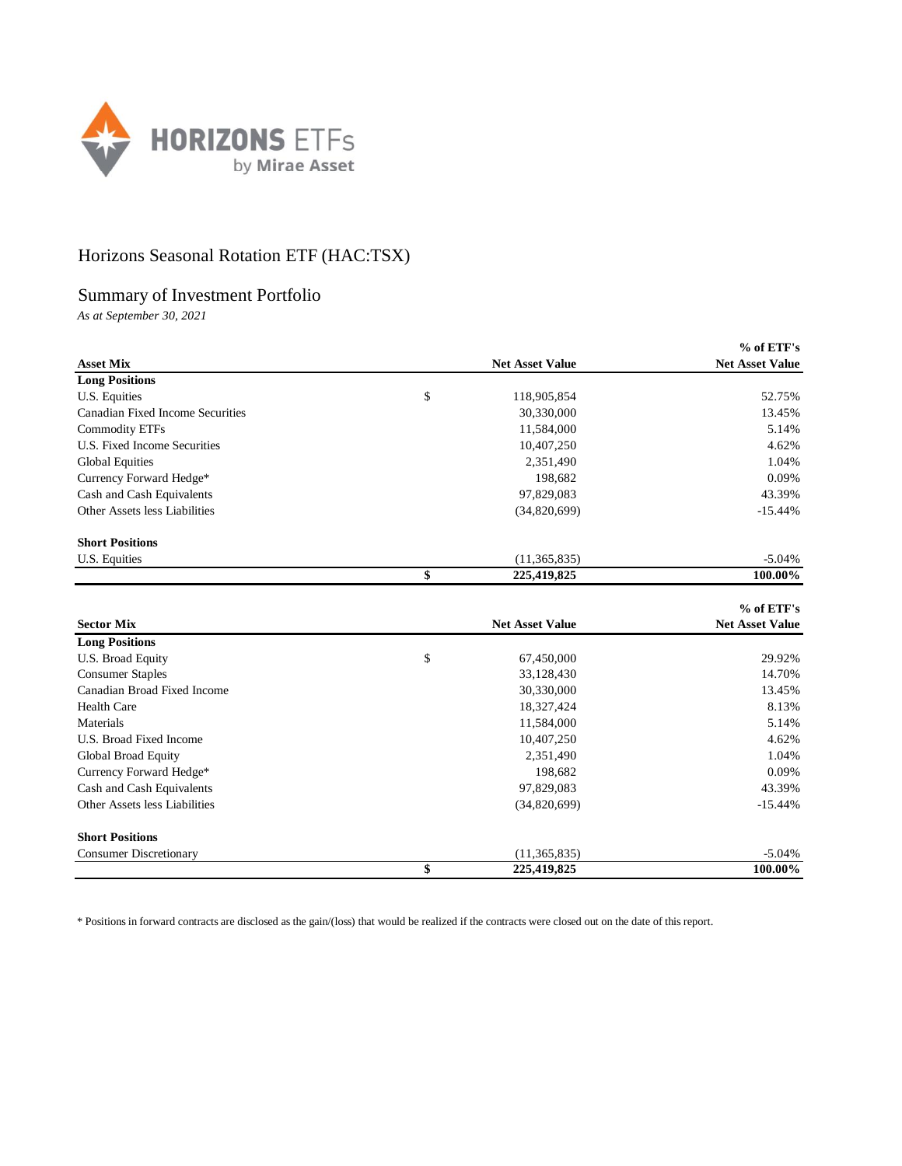

## Horizons Seasonal Rotation ETF (HAC:TSX)

## Summary of Investment Portfolio

*As at September 30, 2021*

|                                  |                        |                        | $%$ of ETF's           |
|----------------------------------|------------------------|------------------------|------------------------|
| <b>Asset Mix</b>                 | <b>Net Asset Value</b> |                        | <b>Net Asset Value</b> |
| <b>Long Positions</b>            |                        |                        |                        |
| U.S. Equities                    | \$                     | 118,905,854            | 52.75%                 |
| Canadian Fixed Income Securities |                        | 30,330,000             | 13.45%                 |
| <b>Commodity ETFs</b>            |                        | 11,584,000             | 5.14%                  |
| U.S. Fixed Income Securities     |                        | 10,407,250             | 4.62%                  |
| <b>Global Equities</b>           |                        | 2,351,490              | 1.04%                  |
| Currency Forward Hedge*          |                        | 198,682                | 0.09%                  |
| Cash and Cash Equivalents        |                        | 97,829,083             | 43.39%                 |
| Other Assets less Liabilities    |                        | (34,820,699)           | $-15.44%$              |
| <b>Short Positions</b>           |                        |                        |                        |
| U.S. Equities                    |                        | (11,365,835)           | $-5.04\%$              |
|                                  | \$                     | 225,419,825            | 100.00%                |
|                                  |                        |                        | % of ETF's             |
| <b>Sector Mix</b>                |                        | <b>Net Asset Value</b> | <b>Net Asset Value</b> |
| <b>Long Positions</b>            |                        |                        |                        |

| <b>Long Positions</b>         |                   |           |
|-------------------------------|-------------------|-----------|
| U.S. Broad Equity             | \$<br>67,450,000  | 29.92%    |
| <b>Consumer Staples</b>       | 33,128,430        | 14.70%    |
| Canadian Broad Fixed Income   | 30,330,000        | 13.45%    |
| <b>Health Care</b>            | 18,327,424        | 8.13%     |
| Materials                     | 11,584,000        | 5.14%     |
| U.S. Broad Fixed Income       | 10,407,250        | 4.62%     |
| Global Broad Equity           | 2,351,490         | 1.04%     |
| Currency Forward Hedge*       | 198.682           | 0.09%     |
| Cash and Cash Equivalents     | 97,829,083        | 43.39%    |
| Other Assets less Liabilities | (34,820,699)      | $-15.44%$ |
| <b>Short Positions</b>        |                   |           |
| <b>Consumer Discretionary</b> | (11, 365, 835)    | $-5.04\%$ |
|                               | \$<br>225,419,825 | 100.00%   |

\* Positions in forward contracts are disclosed as the gain/(loss) that would be realized if the contracts were closed out on the date of this report.